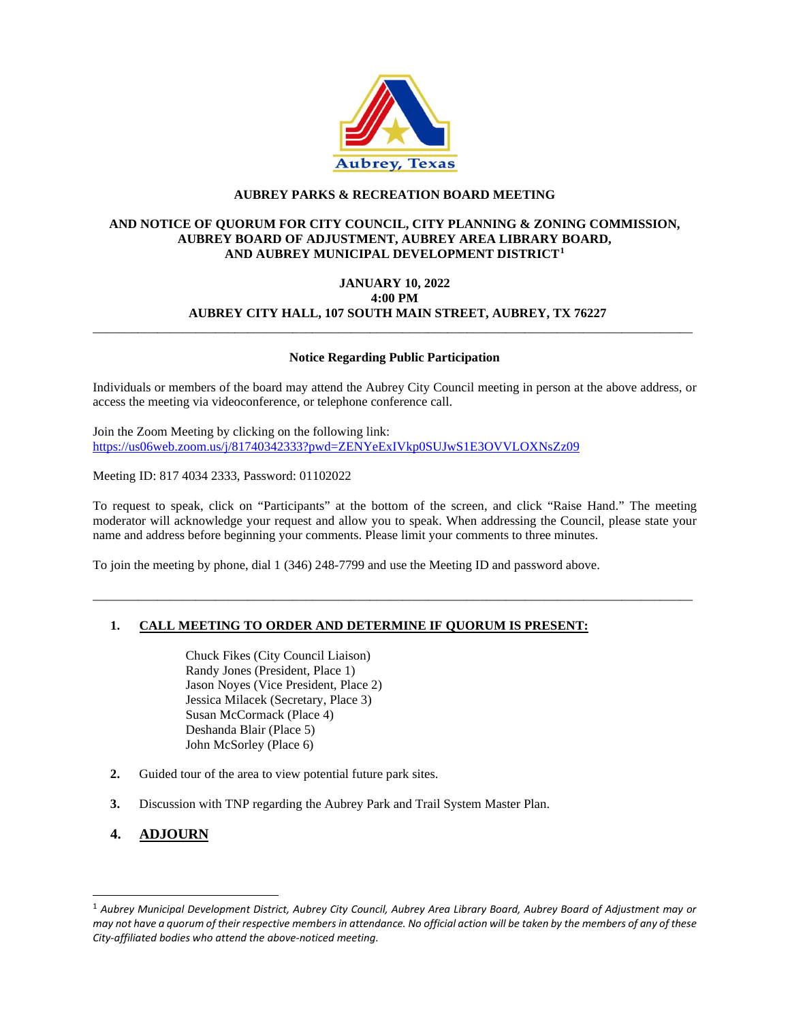

## **AUBREY PARKS & RECREATION BOARD MEETING**

### **AND NOTICE OF QUORUM FOR CITY COUNCIL, CITY PLANNING & ZONING COMMISSION, AUBREY BOARD OF ADJUSTMENT, AUBREY AREA LIBRARY BOARD, AND AUBREY MUNICIPAL DEVELOPMENT DISTRICT[1](#page-0-0)**

#### **JANUARY 10, 2022 4:00 PM AUBREY CITY HALL, 107 SOUTH MAIN STREET, AUBREY, TX 76227**

#### **Notice Regarding Public Participation**

\_\_\_\_\_\_\_\_\_\_\_\_\_\_\_\_\_\_\_\_\_\_\_\_\_\_\_\_\_\_\_\_\_\_\_\_\_\_\_\_\_\_\_\_\_\_\_\_\_\_\_\_\_\_\_\_\_\_\_\_\_\_\_\_\_\_\_\_\_\_\_\_\_\_\_\_\_\_\_\_\_\_\_\_\_\_\_\_\_\_\_\_\_

Individuals or members of the board may attend the Aubrey City Council meeting in person at the above address, or access the meeting via videoconference, or telephone conference call.

Join the Zoom Meeting by clicking on the following link: <https://us06web.zoom.us/j/81740342333?pwd=ZENYeExIVkp0SUJwS1E3OVVLOXNsZz09>

Meeting ID: 817 4034 2333, Password: 01102022

To request to speak, click on "Participants" at the bottom of the screen, and click "Raise Hand." The meeting moderator will acknowledge your request and allow you to speak. When addressing the Council, please state your name and address before beginning your comments. Please limit your comments to three minutes.

\_\_\_\_\_\_\_\_\_\_\_\_\_\_\_\_\_\_\_\_\_\_\_\_\_\_\_\_\_\_\_\_\_\_\_\_\_\_\_\_\_\_\_\_\_\_\_\_\_\_\_\_\_\_\_\_\_\_\_\_\_\_\_\_\_\_\_\_\_\_\_\_\_\_\_\_\_\_\_\_\_\_\_\_\_\_\_\_\_\_\_\_\_

To join the meeting by phone, dial 1 (346) 248-7799 and use the Meeting ID and password above.

#### **1. CALL MEETING TO ORDER AND DETERMINE IF QUORUM IS PRESENT:**

Chuck Fikes (City Council Liaison) Randy Jones (President, Place 1) Jason Noyes (Vice President, Place 2) Jessica Milacek (Secretary, Place 3) Susan McCormack (Place 4) Deshanda Blair (Place 5) John McSorley (Place 6)

- **2.** Guided tour of the area to view potential future park sites.
- **3.** Discussion with TNP regarding the Aubrey Park and Trail System Master Plan.

# **4. ADJOURN**

<span id="page-0-0"></span><sup>1</sup> *Aubrey Municipal Development District, Aubrey City Council, Aubrey Area Library Board, Aubrey Board of Adjustment may or may not have a quorum of their respective members in attendance. No official action will be taken by the members of any of these City-affiliated bodies who attend the above-noticed meeting.*